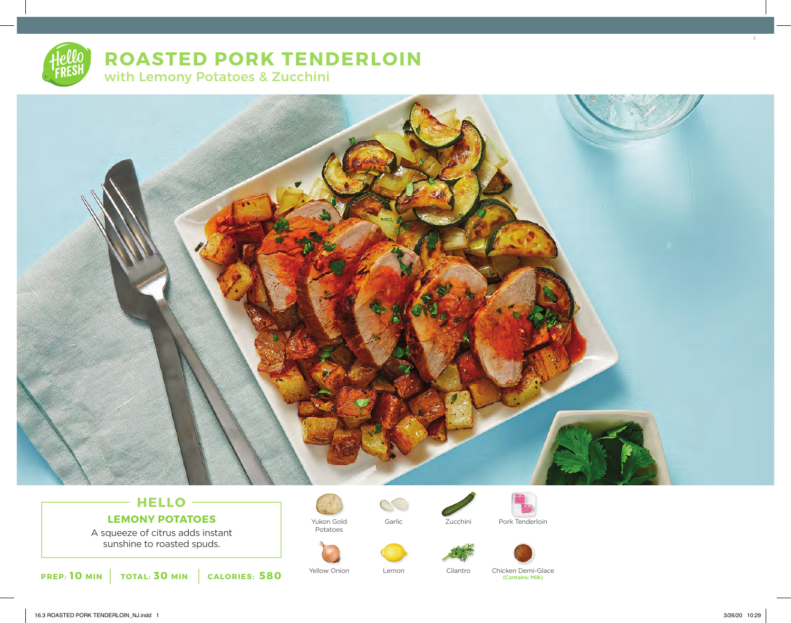# **ROASTED PORK TENDERLOIN** with Lemony Potatoes & Zucchini



# **HELLO LEMONY POTATOES**

A squeeze of citrus adds instant sunshine to roasted spuds.





Yukon Gold Potatoes









Yellow Onion Lemon Cilantro Chicken Demi-Glace

(Contains: Milk)

3